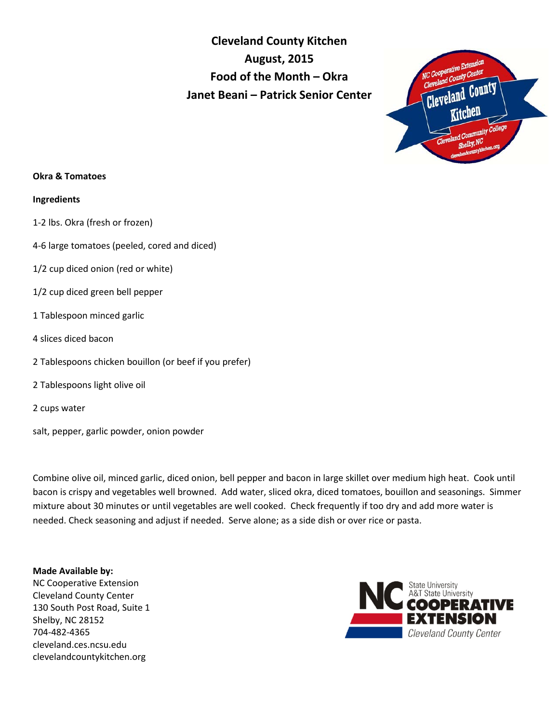**Cleveland County Kitchen August, 2015 Food of the Month – Okra Janet Beani – Patrick Senior Center**



## **Okra & Tomatoes**

### **Ingredients**

- 1-2 lbs. Okra (fresh or frozen)
- 4-6 large tomatoes (peeled, cored and diced)
- 1/2 cup diced onion (red or white)
- 1/2 cup diced green bell pepper
- 1 Tablespoon minced garlic
- 4 slices diced bacon
- 2 Tablespoons chicken bouillon (or beef if you prefer)
- 2 Tablespoons light olive oil
- 2 cups water
- salt, pepper, garlic powder, onion powder

Combine olive oil, minced garlic, diced onion, bell pepper and bacon in large skillet over medium high heat. Cook until bacon is crispy and vegetables well browned. Add water, sliced okra, diced tomatoes, bouillon and seasonings. Simmer mixture about 30 minutes or until vegetables are well cooked. Check frequently if too dry and add more water is needed. Check seasoning and adjust if needed. Serve alone; as a side dish or over rice or pasta.

# **Made Available by:**

NC Cooperative Extension Cleveland County Center 130 South Post Road, Suite 1 Shelby, NC 28152 704-482-4365 cleveland.ces.ncsu.edu clevelandcountykitchen.org